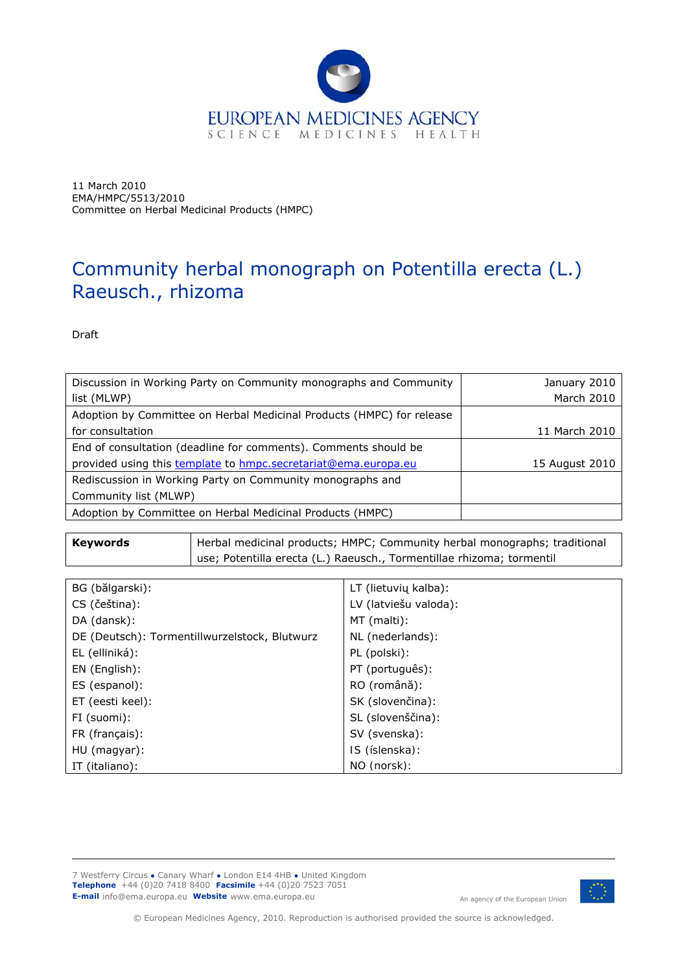

11 March 2010 EMA/HMPC/5513/2010 Committee on Herbal Medicinal Products (HMPC)

# Community herbal monograph on *Potentilla erecta* (L.) Raeusch., rhizoma

Draft

| Discussion in Working Party on Community monographs and Community     | January 2010   |
|-----------------------------------------------------------------------|----------------|
| list (MLWP)                                                           | March 2010     |
| Adoption by Committee on Herbal Medicinal Products (HMPC) for release |                |
| for consultation                                                      | 11 March 2010  |
| End of consultation (deadline for comments). Comments should be       |                |
| provided using this template to hmpc.secretariat@ema.europa.eu        | 15 August 2010 |
| Rediscussion in Working Party on Community monographs and             |                |
| Community list (MLWP)                                                 |                |
| Adoption by Committee on Herbal Medicinal Products (HMPC)             |                |

**Keywords** | Herbal medicinal products; HMPC; Community herbal monographs; traditional use; *Potentilla erecta* (L.) Raeusch., Tormentillae rhizoma; tormentil

| BG (bălgarski):                               | LT (lietuvių kalba):  |
|-----------------------------------------------|-----------------------|
| CS (čeština):                                 | LV (latviešu valoda): |
| DA (dansk):                                   | MT (malti):           |
| DE (Deutsch): Tormentillwurzelstock, Blutwurz | NL (nederlands):      |
| EL (elliniká):                                | PL (polski):          |
| EN (English):                                 | PT (português):       |
| ES (espanol):                                 | RO (română):          |
| ET (eesti keel):                              | SK (slovenčina):      |
| FI (suomi):                                   | SL (slovenščina):     |
| FR (français):                                | SV (svenska):         |
| HU (magyar):                                  | IS (íslenska):        |
| IT (italiano):                                | NO (norsk):           |

7 Westferry Circus **●** Canary Wharf **●** London E14 4HB **●** United Kingdom **Telephone** +44 (0)20 7418 8400 **Facsimile** +44 (0)20 7523 7051 **E-mail** info@ema.europa.eu Website www.ema.europa.eu An agency of the European Union



© European Medicines Agency, 2010. Reproduction is authorised provided the source is acknowledged.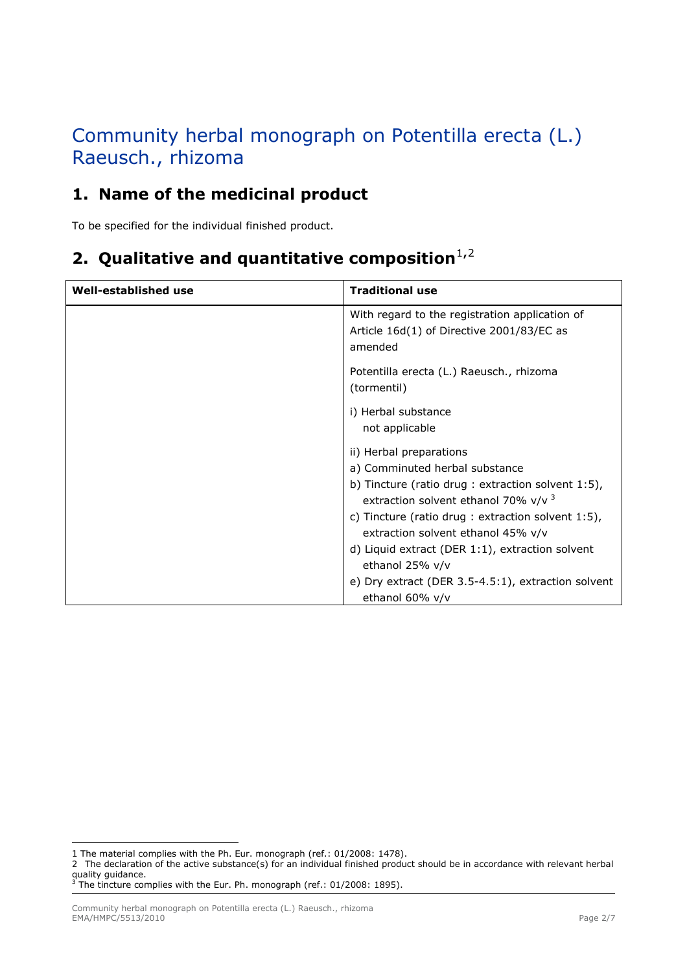# Community herbal monograph on *Potentilla erecta* (L.) Raeusch., rhizoma

### **1. Name of the medicinal product**

To be specified for the individual finished product.

## **[2](#page-1-1). Qualitative and quantitative composition**<sup>[1](#page-1-0),2</sup>

| Well-established use | <b>Traditional use</b>                                                                                                                                                                                                                                                                                                            |
|----------------------|-----------------------------------------------------------------------------------------------------------------------------------------------------------------------------------------------------------------------------------------------------------------------------------------------------------------------------------|
|                      | With regard to the registration application of<br>Article 16d(1) of Directive 2001/83/EC as<br>amended                                                                                                                                                                                                                            |
|                      | <i>Potentilla erecta</i> (L.) Raeusch., rhizoma<br>(tormentil)                                                                                                                                                                                                                                                                    |
|                      | i) Herbal substance<br>not applicable                                                                                                                                                                                                                                                                                             |
|                      | ii) Herbal preparations<br>a) Comminuted herbal substance<br>b) Tincture (ratio drug : extraction solvent $1:5$ ),<br>extraction solvent ethanol 70% $v/v^3$<br>c) Tincture (ratio drug : extraction solvent $1:5$ ),<br>extraction solvent ethanol 45% v/v<br>d) Liquid extract (DER 1:1), extraction solvent<br>ethanol 25% v/v |
|                      | e) Dry extract (DER 3.5-4.5:1), extraction solvent<br>ethanol 60% v/v                                                                                                                                                                                                                                                             |

ł

<span id="page-1-0"></span>*<sup>1</sup>* The material complies with the Ph. Eur. monograph (ref.: 01/2008: 1478).

<span id="page-1-1"></span>*<sup>2</sup>* The declaration of the active substance(s) for an individual finished product should be in accordance with relevant herbal

<span id="page-1-2"></span>quality guidance.<br><sup>3</sup> The tincture complies with the Eur. Ph. monograph (ref.: 01/2008: 1895).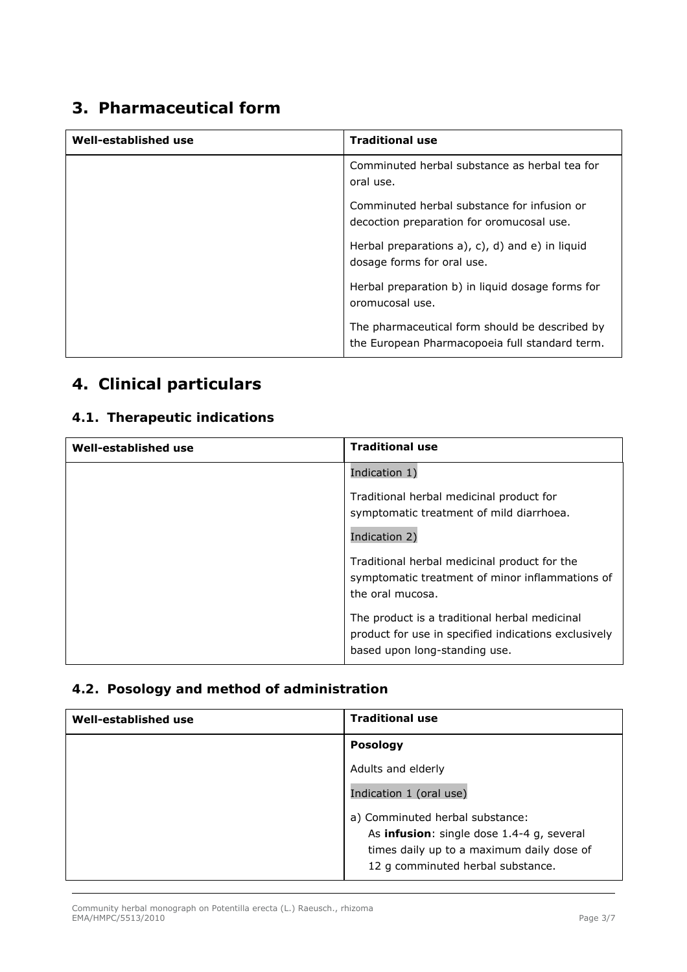### **3. Pharmaceutical form**

| Well-established use | <b>Traditional use</b>                                                                           |
|----------------------|--------------------------------------------------------------------------------------------------|
|                      | Comminuted herbal substance as herbal tea for<br>oral use.                                       |
|                      | Comminuted herbal substance for infusion or<br>decoction preparation for oromucosal use.         |
|                      | Herbal preparations a), c), d) and e) in liquid<br>dosage forms for oral use.                    |
|                      | Herbal preparation b) in liquid dosage forms for<br>oromucosal use.                              |
|                      | The pharmaceutical form should be described by<br>the European Pharmacopoeia full standard term. |

# **4. Clinical particulars**

#### *4.1. Therapeutic indications*

| Well-established use | <b>Traditional use</b>                                                                                                                 |
|----------------------|----------------------------------------------------------------------------------------------------------------------------------------|
|                      | Indication 1)                                                                                                                          |
|                      | Traditional herbal medicinal product for<br>symptomatic treatment of mild diarrhoea.<br>Indication 2)                                  |
|                      | Traditional herbal medicinal product for the<br>symptomatic treatment of minor inflammations of<br>the oral mucosa.                    |
|                      | The product is a traditional herbal medicinal<br>product for use in specified indications exclusively<br>based upon long-standing use. |

#### *4.2. Posology and method of administration*

| Well-established use | <b>Traditional use</b>                            |
|----------------------|---------------------------------------------------|
|                      | <b>Posology</b>                                   |
|                      | Adults and elderly                                |
|                      | Indication 1 (oral use)                           |
|                      | a) Comminuted herbal substance:                   |
|                      | As <i>infusion</i> : single dose 1.4-4 g, several |
|                      | times daily up to a maximum daily dose of         |
|                      | 12 g comminuted herbal substance.                 |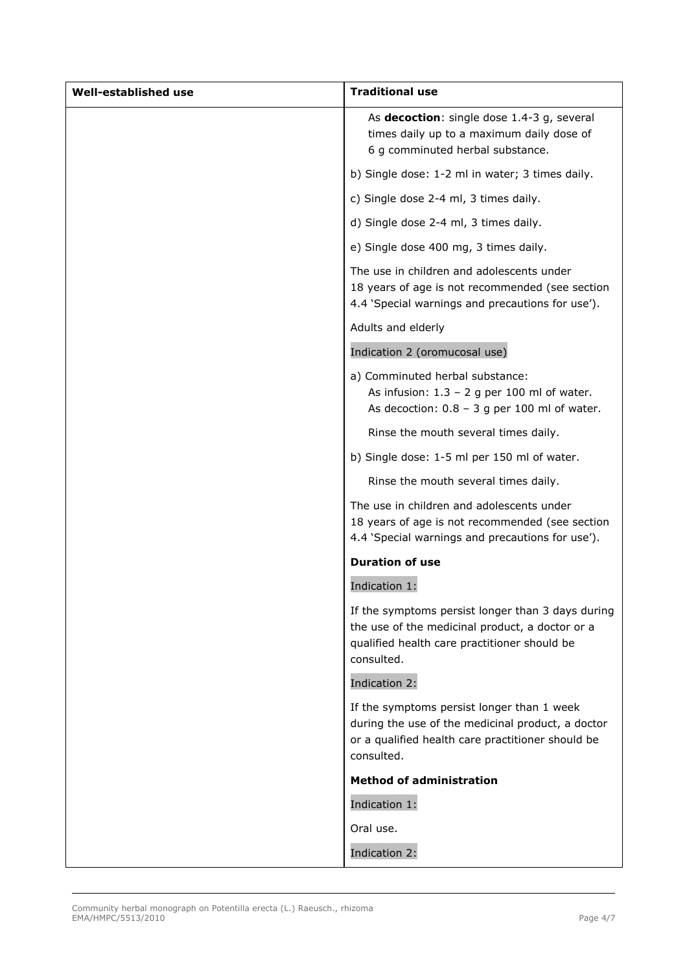| Well-established use | <b>Traditional use</b>                                                                                                                                             |
|----------------------|--------------------------------------------------------------------------------------------------------------------------------------------------------------------|
|                      | As <i>decoction</i> : single dose 1.4-3 g, several<br>times daily up to a maximum daily dose of<br>6 g comminuted herbal substance.                                |
|                      | b) Single dose: 1-2 ml in water; 3 times daily.                                                                                                                    |
|                      | c) Single dose 2-4 ml, 3 times daily.                                                                                                                              |
|                      | d) Single dose 2-4 ml, 3 times daily.                                                                                                                              |
|                      | e) Single dose 400 mg, 3 times daily.                                                                                                                              |
|                      | The use in children and adolescents under<br>18 years of age is not recommended (see section<br>4.4 'Special warnings and precautions for use').                   |
|                      | Adults and elderly                                                                                                                                                 |
|                      | Indication 2 (oromucosal use)                                                                                                                                      |
|                      | a) Comminuted herbal substance:<br>As infusion: $1.3 - 2$ g per 100 ml of water.<br>As decoction: $0.8 - 3$ g per 100 ml of water.                                 |
|                      | Rinse the mouth several times daily.                                                                                                                               |
|                      | b) Single dose: 1-5 ml per 150 ml of water.                                                                                                                        |
|                      | Rinse the mouth several times daily.                                                                                                                               |
|                      | The use in children and adolescents under<br>18 years of age is not recommended (see section<br>4.4 'Special warnings and precautions for use').                   |
|                      | <b>Duration of use</b>                                                                                                                                             |
|                      | Indication 1:                                                                                                                                                      |
|                      | If the symptoms persist longer than 3 days during<br>the use of the medicinal product, a doctor or a<br>qualified health care practitioner should be<br>consulted. |
|                      | Indication 2:                                                                                                                                                      |
|                      | If the symptoms persist longer than 1 week<br>during the use of the medicinal product, a doctor<br>or a qualified health care practitioner should be<br>consulted. |
|                      | <b>Method of administration</b>                                                                                                                                    |
|                      | Indication 1:                                                                                                                                                      |
|                      | Oral use.                                                                                                                                                          |
|                      | Indication 2:                                                                                                                                                      |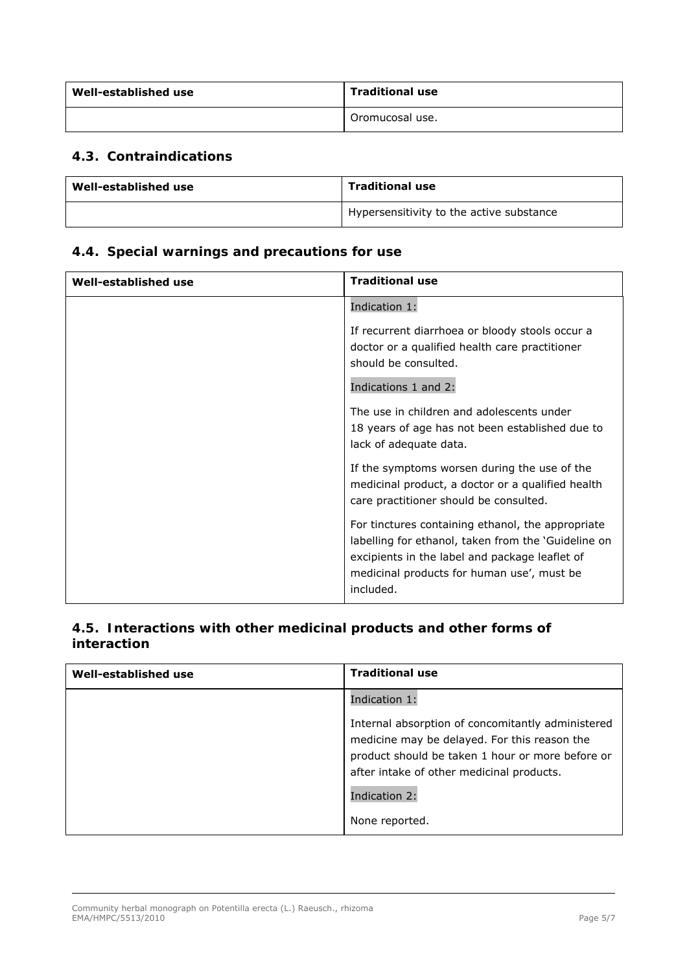| Well-established use | <b>Traditional use</b> |
|----------------------|------------------------|
|                      | Oromucosal use.        |

#### *4.3. Contraindications*

| Well-established use | <b>Traditional use</b>                                |
|----------------------|-------------------------------------------------------|
|                      | <sup>1</sup> Hypersensitivity to the active substance |

#### *4.4. Special warnings and precautions for use*

| Well-established use | <b>Traditional use</b>                                                                                                                                                                                                |
|----------------------|-----------------------------------------------------------------------------------------------------------------------------------------------------------------------------------------------------------------------|
|                      | Indication 1:                                                                                                                                                                                                         |
|                      | If recurrent diarrhoea or bloody stools occur a<br>doctor or a qualified health care practitioner<br>should be consulted.<br>Indications 1 and 2:                                                                     |
|                      | The use in children and adolescents under<br>18 years of age has not been established due to<br>lack of adequate data.                                                                                                |
|                      | If the symptoms worsen during the use of the<br>medicinal product, a doctor or a qualified health<br>care practitioner should be consulted.                                                                           |
|                      | For tinctures containing ethanol, the appropriate<br>labelling for ethanol, taken from the 'Guideline on<br>excipients in the label and package leaflet of<br>medicinal products for human use', must be<br>included. |

#### *4.5. Interactions with other medicinal products and other forms of interaction*

| Well-established use | <b>Traditional use</b>                                                                                                                                                                             |
|----------------------|----------------------------------------------------------------------------------------------------------------------------------------------------------------------------------------------------|
|                      | Indication 1:                                                                                                                                                                                      |
|                      | Internal absorption of concomitantly administered<br>medicine may be delayed. For this reason the<br>product should be taken 1 hour or more before or<br>after intake of other medicinal products. |
|                      | Indication 2:                                                                                                                                                                                      |
|                      | None reported.                                                                                                                                                                                     |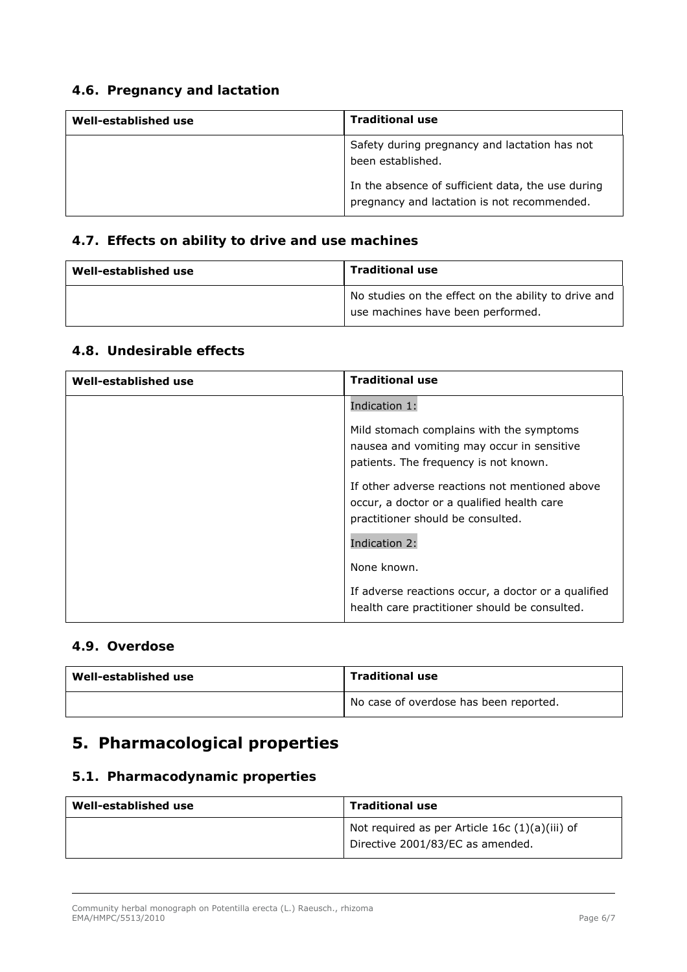#### *4.6. Pregnancy and lactation*

| Well-established use | <b>Traditional use</b>                                                                           |
|----------------------|--------------------------------------------------------------------------------------------------|
|                      | Safety during pregnancy and lactation has not<br>been established.                               |
|                      | In the absence of sufficient data, the use during<br>pregnancy and lactation is not recommended. |

#### *4.7. Effects on ability to drive and use machines*

| Well-established use | <b>Traditional use</b>                                                                    |
|----------------------|-------------------------------------------------------------------------------------------|
|                      | No studies on the effect on the ability to drive and<br>use machines have been performed. |

#### *4.8. Undesirable effects*

| Well-established use | <b>Traditional use</b>                                                                                                            |
|----------------------|-----------------------------------------------------------------------------------------------------------------------------------|
|                      | Indication 1:                                                                                                                     |
|                      | Mild stomach complains with the symptoms<br>nausea and vomiting may occur in sensitive<br>patients. The frequency is not known.   |
|                      | If other adverse reactions not mentioned above<br>occur, a doctor or a qualified health care<br>practitioner should be consulted. |
|                      | Indication 2:                                                                                                                     |
|                      | None known.                                                                                                                       |
|                      | If adverse reactions occur, a doctor or a qualified<br>health care practitioner should be consulted.                              |

#### *4.9. Overdose*

| Well-established use | <b>Traditional use</b>                 |
|----------------------|----------------------------------------|
|                      | No case of overdose has been reported. |

## **5. Pharmacological properties**

#### *5.1. Pharmacodynamic properties*

| Well-established use | <b>Traditional use</b>                                                               |
|----------------------|--------------------------------------------------------------------------------------|
|                      | Not required as per Article 16c $(1)(a)(iii)$ of<br>Directive 2001/83/EC as amended. |